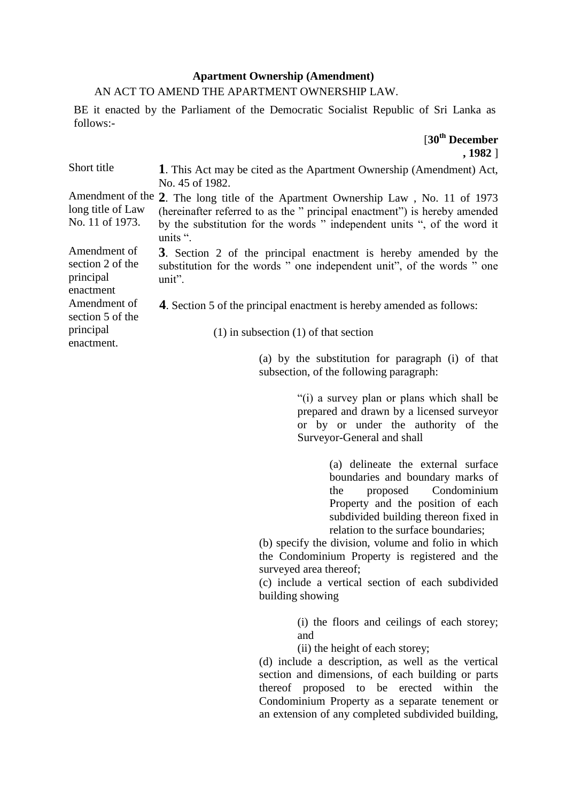## **Apartment Ownership (Amendment)**

## AN ACT TO AMEND THE APARTMENT OWNERSHIP LAW.

BE it enacted by the Parliament of the Democratic Socialist Republic of Sri Lanka as follows:-

> [**30th December , 1982** ]

| Short title                                                | 1. This Act may be cited as the Apartment Ownership (Amendment) Act,<br>No. 45 of 1982.                                                                                                                                                               |
|------------------------------------------------------------|-------------------------------------------------------------------------------------------------------------------------------------------------------------------------------------------------------------------------------------------------------|
| long title of Law<br>No. 11 of 1973.                       | Amendment of the 2. The long title of the Apartment Ownership Law, No. 11 of 1973<br>(hereinafter referred to as the " principal enactment") is hereby amended<br>by the substitution for the words " independent units ", of the word it<br>units ". |
| Amendment of<br>section 2 of the<br>principal<br>enactment | 3. Section 2 of the principal enactment is hereby amended by the<br>substitution for the words " one independent unit", of the words " one<br>$unit$ ".                                                                                               |
| Amendment of<br>section 5 of the                           | <b>4.</b> Section 5 of the principal enactment is hereby amended as follows:                                                                                                                                                                          |
| principal<br>enactment.                                    | $(1)$ in subsection $(1)$ of that section                                                                                                                                                                                                             |
|                                                            | (a) by the substitution for paragraph (i) of that                                                                                                                                                                                                     |

"(i) a survey plan or plans which shall be prepared and drawn by a licensed surveyor or by or under the authority of the Surveyor-General and shall

subsection, of the following paragraph:

(a) delineate the external surface boundaries and boundary marks of the proposed Condominium Property and the position of each subdivided building thereon fixed in relation to the surface boundaries;

(b) specify the division, volume and folio in which the Condominium Property is registered and the surveyed area thereof;

(c) include a vertical section of each subdivided building showing

> (i) the floors and ceilings of each storey; and

(ii) the height of each storey;

(d) include a description, as well as the vertical section and dimensions, of each building or parts thereof proposed to be erected within the Condominium Property as a separate tenement or an extension of any completed subdivided building,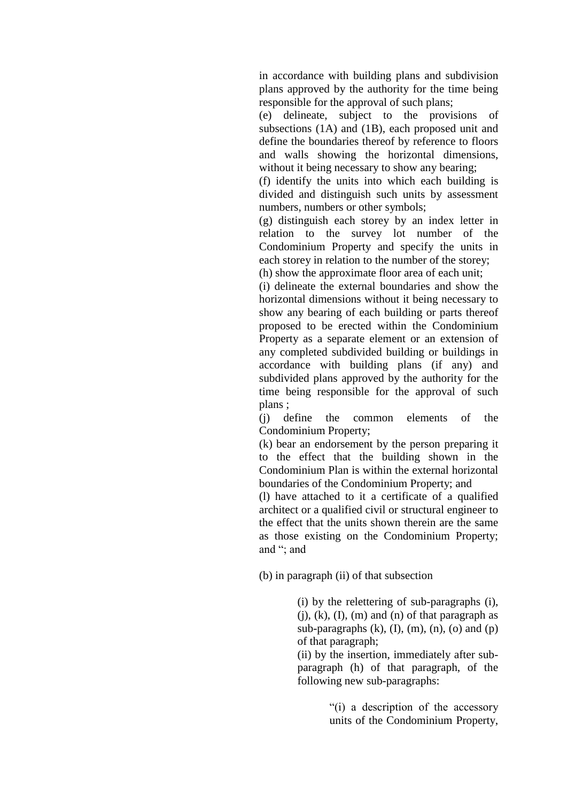in accordance with building plans and subdivision plans approved by the authority for the time being responsible for the approval of such plans;

(e) delineate, subject to the provisions of subsections (1A) and (1B), each proposed unit and define the boundaries thereof by reference to floors and walls showing the horizontal dimensions, without it being necessary to show any bearing:

(f) identify the units into which each building is divided and distinguish such units by assessment numbers, numbers or other symbols;

(g) distinguish each storey by an index letter in relation to the survey lot number of the Condominium Property and specify the units in each storey in relation to the number of the storey;

(h) show the approximate floor area of each unit;

(i) delineate the external boundaries and show the horizontal dimensions without it being necessary to show any bearing of each building or parts thereof proposed to be erected within the Condominium Property as a separate element or an extension of any completed subdivided building or buildings in accordance with building plans (if any) and subdivided plans approved by the authority for the time being responsible for the approval of such plans ;

(j) define the common elements of the Condominium Property;

(k) bear an endorsement by the person preparing it to the effect that the building shown in the Condominium Plan is within the external horizontal boundaries of the Condominium Property; and

(l) have attached to it a certificate of a qualified architect or a qualified civil or structural engineer to the effect that the units shown therein are the same as those existing on the Condominium Property; and "; and

(b) in paragraph (ii) of that subsection

(i) by the relettering of sub-paragraphs (i),  $(i)$ ,  $(k)$ ,  $(I)$ ,  $(m)$  and  $(n)$  of that paragraph as sub-paragraphs  $(k)$ ,  $(I)$ ,  $(m)$ ,  $(n)$ ,  $(o)$  and  $(p)$ of that paragraph;

(ii) by the insertion, immediately after subparagraph (h) of that paragraph, of the following new sub-paragraphs:

> "(i) a description of the accessory units of the Condominium Property,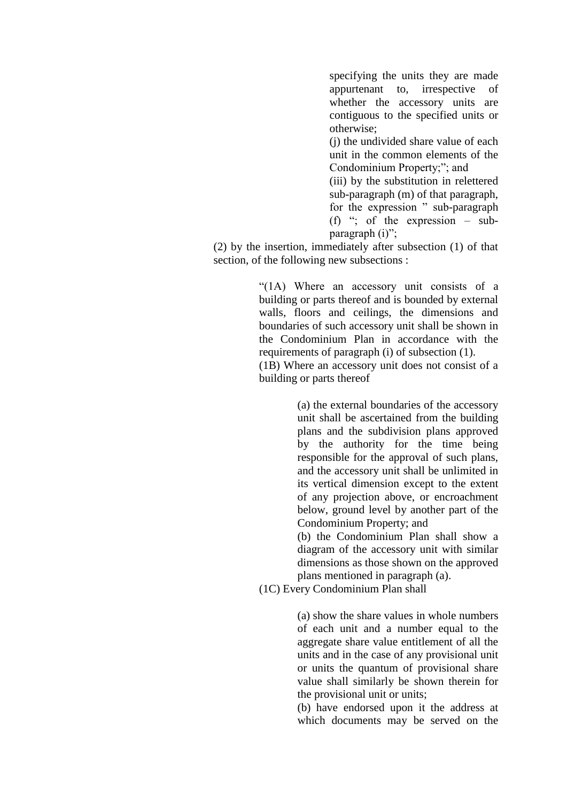specifying the units they are made appurtenant to, irrespective of whether the accessory units are contiguous to the specified units or otherwise;

(j) the undivided share value of each unit in the common elements of the Condominium Property;"; and

(iii) by the substitution in relettered sub-paragraph (m) of that paragraph, for the expression " sub-paragraph (f) "; of the expression – subparagraph (i)";

(2) by the insertion, immediately after subsection (1) of that section, of the following new subsections :

> "(1A) Where an accessory unit consists of a building or parts thereof and is bounded by external walls, floors and ceilings, the dimensions and boundaries of such accessory unit shall be shown in the Condominium Plan in accordance with the requirements of paragraph (i) of subsection (1). (1B) Where an accessory unit does not consist of a building or parts thereof

> > (a) the external boundaries of the accessory unit shall be ascertained from the building plans and the subdivision plans approved by the authority for the time being responsible for the approval of such plans, and the accessory unit shall be unlimited in its vertical dimension except to the extent of any projection above, or encroachment below, ground level by another part of the Condominium Property; and

> > (b) the Condominium Plan shall show a diagram of the accessory unit with similar dimensions as those shown on the approved plans mentioned in paragraph (a).

(1C) Every Condominium Plan shall

(a) show the share values in whole numbers of each unit and a number equal to the aggregate share value entitlement of all the units and in the case of any provisional unit or units the quantum of provisional share value shall similarly be shown therein for the provisional unit or units;

(b) have endorsed upon it the address at which documents may be served on the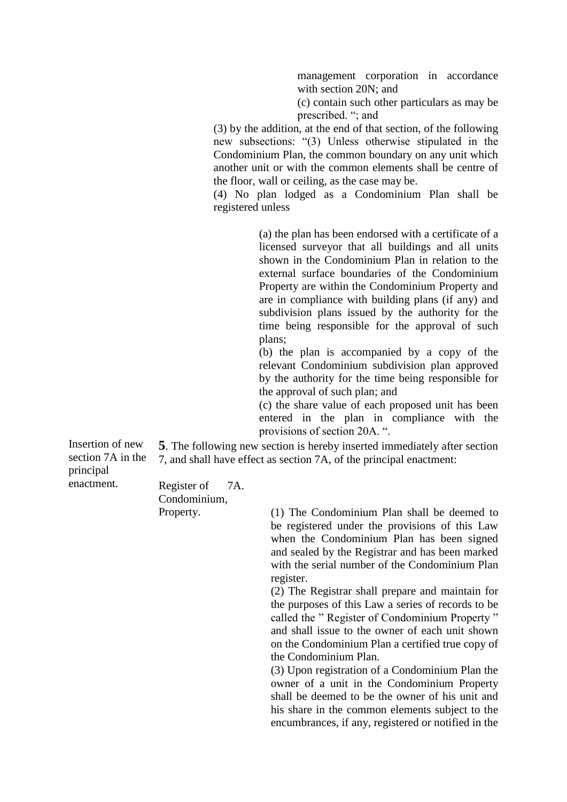management corporation in accordance with section 20N; and

(c) contain such other particulars as may be prescribed. "; and

(3) by the addition, at the end of that section, of the following new subsections: "(3) Unless otherwise stipulated in the Condominium Plan, the common boundary on any unit which another unit or with the common elements shall be centre of the floor, wall or ceiling, as the case may be.

(4) No plan lodged as a Condominium Plan shall be registered unless

> (a) the plan has been endorsed with a certificate of a licensed surveyor that all buildings and all units shown in the Condominium Plan in relation to the external surface boundaries of the Condominium Property are within the Condominium Property and are in compliance with building plans (if any) and subdivision plans issued by the authority for the time being responsible for the approval of such plans;

> (b) the plan is accompanied by a copy of the relevant Condominium subdivision plan approved by the authority for the time being responsible for the approval of such plan; and

> (c) the share value of each proposed unit has been entered in the plan in compliance with the provisions of section 20A. ".

Insertion of new section 7A in the principal enactment.

**5**. The following new section is hereby inserted immediately after section 7, and shall have effect as section 7A, of the principal enactment:

Register of Condominium, Property. 7A.

(1) The Condominium Plan shall be deemed to be registered under the provisions of this Law when the Condominium Plan has been signed and sealed by the Registrar and has been marked with the serial number of the Condominium Plan register.

(2) The Registrar shall prepare and maintain for the purposes of this Law a series of records to be called the " Register of Condominium Property " and shall issue to the owner of each unit shown on the Condominium Plan a certified true copy of the Condominium Plan.

(3) Upon registration of a Condominium Plan the owner of a unit in the Condominium Property shall be deemed to be the owner of his unit and his share in the common elements subject to the encumbrances, if any, registered or notified in the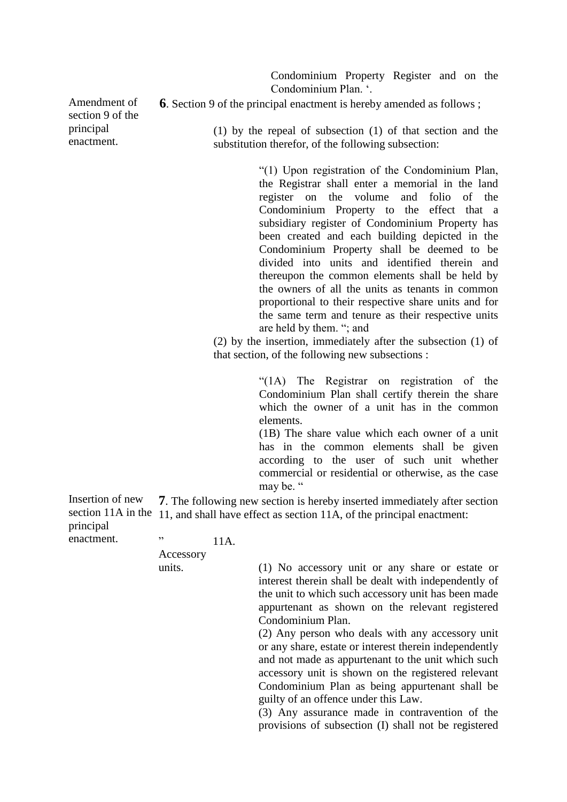Condominium Property Register and on the Condominium Plan. '.

Amendment of section 9 of the principal enactment.

**6**. Section 9 of the principal enactment is hereby amended as follows ;

(1) by the repeal of subsection (1) of that section and the substitution therefor, of the following subsection:

> "(1) Upon registration of the Condominium Plan, the Registrar shall enter a memorial in the land register on the volume and folio of the Condominium Property to the effect that a subsidiary register of Condominium Property has been created and each building depicted in the Condominium Property shall be deemed to be divided into units and identified therein and thereupon the common elements shall be held by the owners of all the units as tenants in common proportional to their respective share units and for the same term and tenure as their respective units are held by them. "; and

(2) by the insertion, immediately after the subsection (1) of that section, of the following new subsections :

> "(1A) The Registrar on registration of the Condominium Plan shall certify therein the share which the owner of a unit has in the common elements.

> (1B) The share value which each owner of a unit has in the common elements shall be given according to the user of such unit whether commercial or residential or otherwise, as the case may be. "

Insertion of new section 11A in the 11, and shall have effect as section 11A, of the principal enactment: principal **7**. The following new section is hereby inserted immediately after section

enactment.

11A.

Accessory units.

"

(1) No accessory unit or any share or estate or interest therein shall be dealt with independently of the unit to which such accessory unit has been made appurtenant as shown on the relevant registered Condominium Plan.

(2) Any person who deals with any accessory unit or any share, estate or interest therein independently and not made as appurtenant to the unit which such accessory unit is shown on the registered relevant Condominium Plan as being appurtenant shall be guilty of an offence under this Law.

(3) Any assurance made in contravention of the provisions of subsection (I) shall not be registered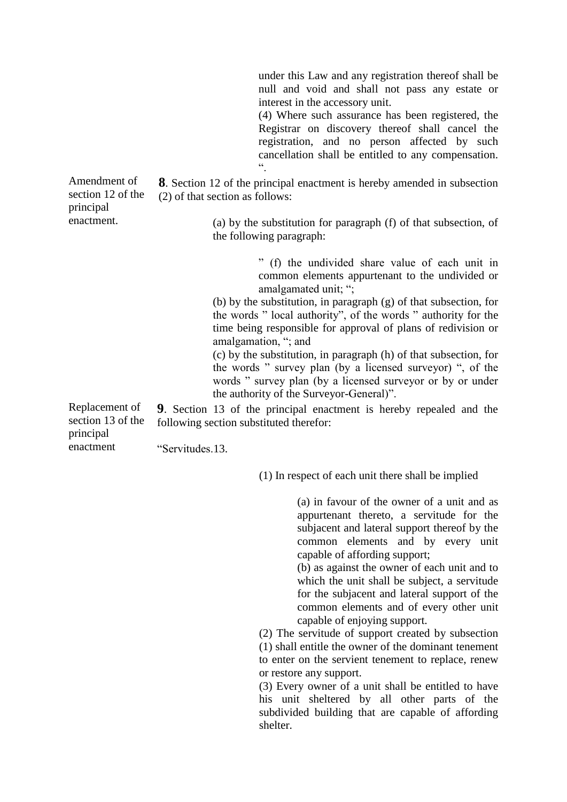under this Law and any registration thereof shall be null and void and shall not pass any estate or interest in the accessory unit.

(4) Where such assurance has been registered, the Registrar on discovery thereof shall cancel the registration, and no person affected by such cancellation shall be entitled to any compensation.  $\ddot{\cdot}$ 

**8**. Section 12 of the principal enactment is hereby amended in subsection (2) of that section as follows:

> (a) by the substitution for paragraph (f) of that subsection, of the following paragraph:

> > " (f) the undivided share value of each unit in common elements appurtenant to the undivided or amalgamated unit; ";

(b) by the substitution, in paragraph (g) of that subsection, for the words " local authority", of the words " authority for the time being responsible for approval of plans of redivision or amalgamation, "; and

(c) by the substitution, in paragraph (h) of that subsection, for the words " survey plan (by a licensed surveyor) ", of the words " survey plan (by a licensed surveyor or by or under the authority of the Surveyor-General)".

Replacement of section 13 of the **9**. Section 13 of the principal enactment is hereby repealed and the following section substituted therefor:

"Servitudes. 13.

(1) In respect of each unit there shall be implied

(a) in favour of the owner of a unit and as appurtenant thereto, a servitude for the subjacent and lateral support thereof by the common elements and by every unit capable of affording support;

(b) as against the owner of each unit and to which the unit shall be subject, a servitude for the subjacent and lateral support of the common elements and of every other unit capable of enjoying support.

(2) The servitude of support created by subsection (1) shall entitle the owner of the dominant tenement to enter on the servient tenement to replace, renew or restore any support.

(3) Every owner of a unit shall be entitled to have his unit sheltered by all other parts of the subdivided building that are capable of affording shelter.

Amendment of section 12 of the principal enactment.

principal enactment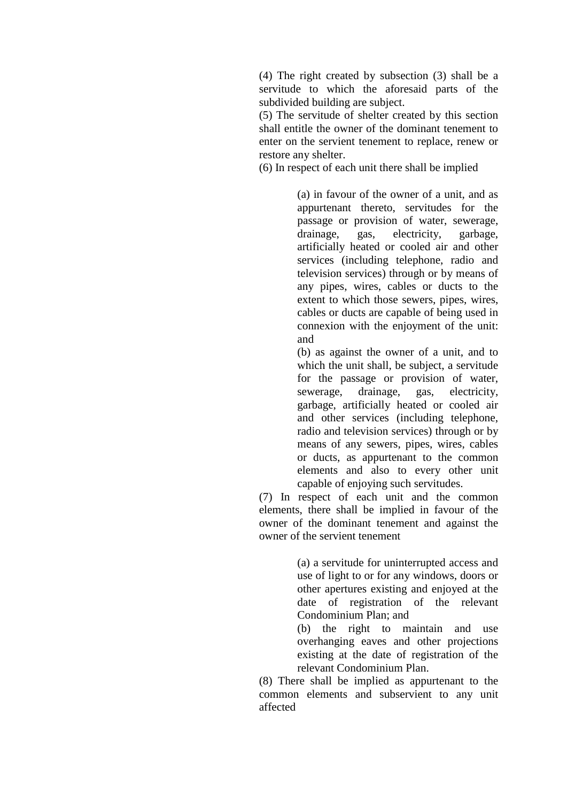(4) The right created by subsection (3) shall be a servitude to which the aforesaid parts of the subdivided building are subject.

(5) The servitude of shelter created by this section shall entitle the owner of the dominant tenement to enter on the servient tenement to replace, renew or restore any shelter.

(6) In respect of each unit there shall be implied

(a) in favour of the owner of a unit, and as appurtenant thereto, servitudes for the passage or provision of water, sewerage, drainage, gas, electricity, garbage, artificially heated or cooled air and other services (including telephone, radio and television services) through or by means of any pipes, wires, cables or ducts to the extent to which those sewers, pipes, wires, cables or ducts are capable of being used in connexion with the enjoyment of the unit: and

(b) as against the owner of a unit, and to which the unit shall, be subject, a servitude for the passage or provision of water, sewerage, drainage, gas, electricity, garbage, artificially heated or cooled air and other services (including telephone, radio and television services) through or by means of any sewers, pipes, wires, cables or ducts, as appurtenant to the common elements and also to every other unit capable of enjoying such servitudes.

(7) In respect of each unit and the common elements, there shall be implied in favour of the owner of the dominant tenement and against the owner of the servient tenement

> (a) a servitude for uninterrupted access and use of light to or for any windows, doors or other apertures existing and enjoyed at the date of registration of the relevant Condominium Plan; and

> (b) the right to maintain and use overhanging eaves and other projections existing at the date of registration of the relevant Condominium Plan.

(8) There shall be implied as appurtenant to the common elements and subservient to any unit affected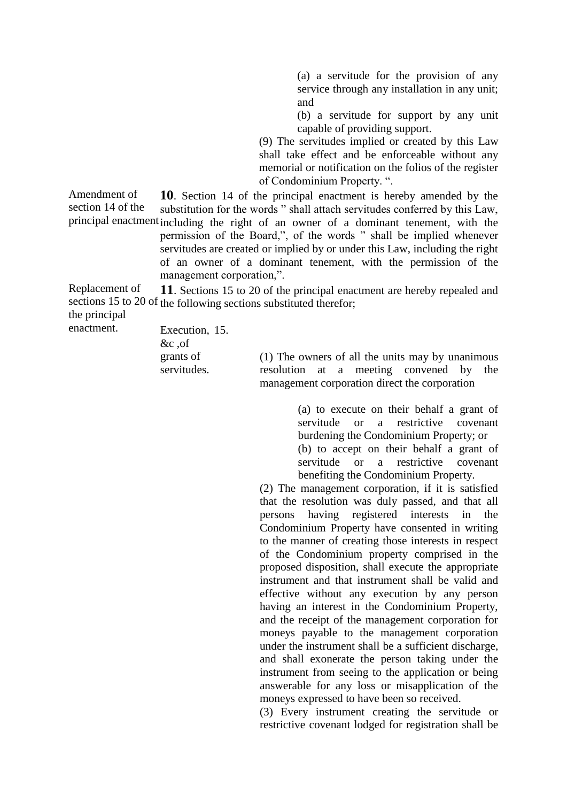(a) a servitude for the provision of any service through any installation in any unit; and

(b) a servitude for support by any unit capable of providing support.

(9) The servitudes implied or created by this Law shall take effect and be enforceable without any memorial or notification on the folios of the register of Condominium Property. ".

Amendment of section 14 of the principal enactmen **10**. Section 14 of the principal enactment is hereby amended by the substitution for the words " shall attach servitudes conferred by this Law, including the right of an owner of a dominant tenement, with the permission of the Board,", of the words " shall be implied whenever servitudes are created or implied by or under this Law, including the right of an owner of a dominant tenement, with the permission of the management corporation,".

Replacement of sections 15 to 20 of the following sections substituted therefor; **11**. Sections 15 to 20 of the principal enactment are hereby repealed and

the principal enactment.

Execution, 15. &c ,of grants of servitudes.

(1) The owners of all the units may by unanimous resolution at a meeting convened by the management corporation direct the corporation

> (a) to execute on their behalf a grant of servitude or a restrictive covenant burdening the Condominium Property; or (b) to accept on their behalf a grant of servitude or a restrictive covenant benefiting the Condominium Property.

(2) The management corporation, if it is satisfied that the resolution was duly passed, and that all persons having registered interests in the Condominium Property have consented in writing to the manner of creating those interests in respect of the Condominium property comprised in the proposed disposition, shall execute the appropriate instrument and that instrument shall be valid and effective without any execution by any person having an interest in the Condominium Property, and the receipt of the management corporation for moneys payable to the management corporation under the instrument shall be a sufficient discharge, and shall exonerate the person taking under the instrument from seeing to the application or being answerable for any loss or misapplication of the moneys expressed to have been so received.

(3) Every instrument creating the servitude or restrictive covenant lodged for registration shall be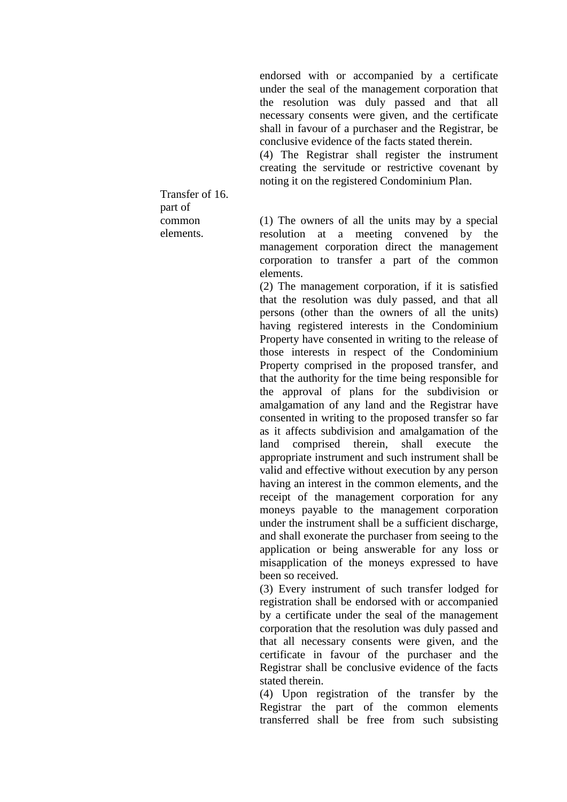endorsed with or accompanied by a certificate under the seal of the management corporation that the resolution was duly passed and that all necessary consents were given, and the certificate shall in favour of a purchaser and the Registrar, be conclusive evidence of the facts stated therein.

(4) The Registrar shall register the instrument creating the servitude or restrictive covenant by noting it on the registered Condominium Plan.

Transfer of 16. part of common elements.

(1) The owners of all the units may by a special resolution at a meeting convened by the management corporation direct the management corporation to transfer a part of the common elements.

(2) The management corporation, if it is satisfied that the resolution was duly passed, and that all persons (other than the owners of all the units) having registered interests in the Condominium Property have consented in writing to the release of those interests in respect of the Condominium Property comprised in the proposed transfer, and that the authority for the time being responsible for the approval of plans for the subdivision or amalgamation of any land and the Registrar have consented in writing to the proposed transfer so far as it affects subdivision and amalgamation of the land comprised therein, shall execute the appropriate instrument and such instrument shall be valid and effective without execution by any person having an interest in the common elements, and the receipt of the management corporation for any moneys payable to the management corporation under the instrument shall be a sufficient discharge, and shall exonerate the purchaser from seeing to the application or being answerable for any loss or misapplication of the moneys expressed to have been so received.

(3) Every instrument of such transfer lodged for registration shall be endorsed with or accompanied by a certificate under the seal of the management corporation that the resolution was duly passed and that all necessary consents were given, and the certificate in favour of the purchaser and the Registrar shall be conclusive evidence of the facts stated therein.

(4) Upon registration of the transfer by the Registrar the part of the common elements transferred shall be free from such subsisting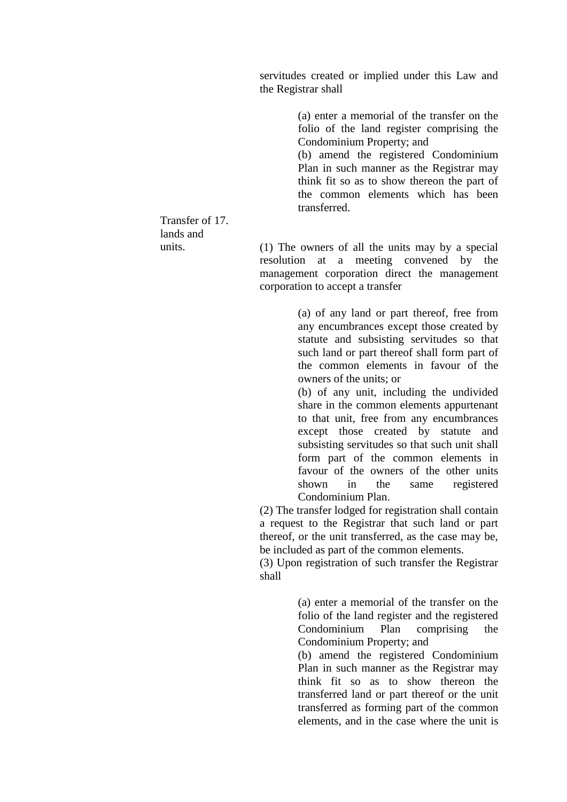servitudes created or implied under this Law and the Registrar shall

> (a) enter a memorial of the transfer on the folio of the land register comprising the Condominium Property; and

> (b) amend the registered Condominium Plan in such manner as the Registrar may think fit so as to show thereon the part of the common elements which has been transferred.

Transfer of 17. lands and units.

(1) The owners of all the units may by a special resolution at a meeting convened by the management corporation direct the management corporation to accept a transfer

> (a) of any land or part thereof, free from any encumbrances except those created by statute and subsisting servitudes so that such land or part thereof shall form part of the common elements in favour of the owners of the units; or

> (b) of any unit, including the undivided share in the common elements appurtenant to that unit, free from any encumbrances except those created by statute and subsisting servitudes so that such unit shall form part of the common elements in favour of the owners of the other units shown in the same registered Condominium Plan.

(2) The transfer lodged for registration shall contain a request to the Registrar that such land or part thereof, or the unit transferred, as the case may be, be included as part of the common elements.

(3) Upon registration of such transfer the Registrar shall

> (a) enter a memorial of the transfer on the folio of the land register and the registered Condominium Plan comprising the Condominium Property; and

> (b) amend the registered Condominium Plan in such manner as the Registrar may think fit so as to show thereon the transferred land or part thereof or the unit transferred as forming part of the common elements, and in the case where the unit is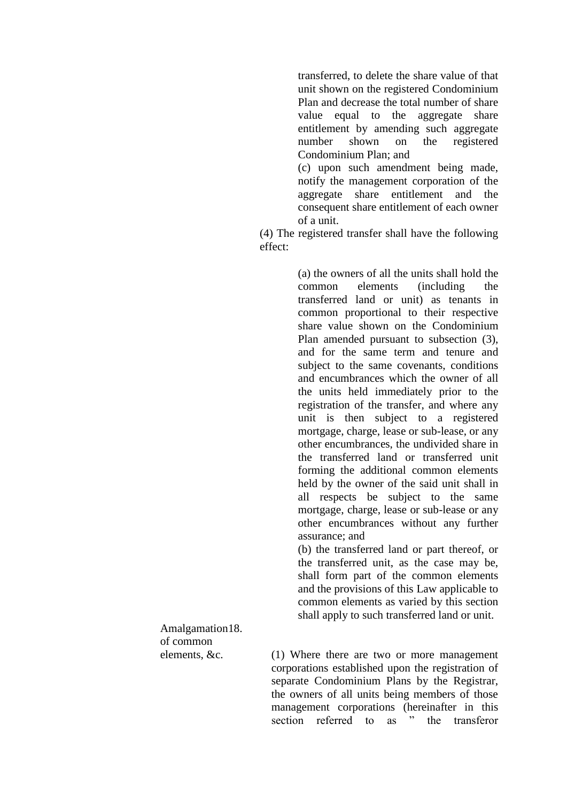transferred, to delete the share value of that unit shown on the registered Condominium Plan and decrease the total number of share value equal to the aggregate share entitlement by amending such aggregate number shown on the registered Condominium Plan; and (c) upon such amendment being made,

notify the management corporation of the aggregate share entitlement and the consequent share entitlement of each owner of a unit.

(4) The registered transfer shall have the following effect:

> (a) the owners of all the units shall hold the common elements (including the transferred land or unit) as tenants in common proportional to their respective share value shown on the Condominium Plan amended pursuant to subsection (3), and for the same term and tenure and subject to the same covenants, conditions and encumbrances which the owner of all the units held immediately prior to the registration of the transfer, and where any unit is then subject to a registered mortgage, charge, lease or sub-lease, or any other encumbrances, the undivided share in the transferred land or transferred unit forming the additional common elements held by the owner of the said unit shall in all respects be subject to the same mortgage, charge, lease or sub-lease or any other encumbrances without any further assurance; and

> (b) the transferred land or part thereof, or the transferred unit, as the case may be, shall form part of the common elements and the provisions of this Law applicable to common elements as varied by this section shall apply to such transferred land or unit.

Amalgamation 18. of common elements, &c.

(1) Where there are two or more management corporations established upon the registration of separate Condominium Plans by the Registrar, the owners of all units being members of those management corporations (hereinafter in this section referred to as " the transferor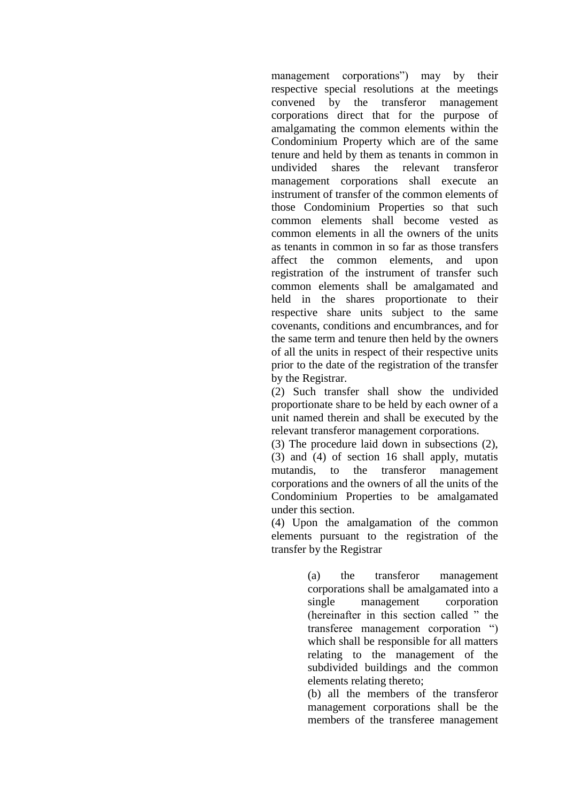management corporations") may by their respective special resolutions at the meetings convened by the transferor management corporations direct that for the purpose of amalgamating the common elements within the Condominium Property which are of the same tenure and held by them as tenants in common in undivided shares the relevant transferor management corporations shall execute an instrument of transfer of the common elements of those Condominium Properties so that such common elements shall become vested as common elements in all the owners of the units as tenants in common in so far as those transfers affect the common elements, and upon registration of the instrument of transfer such common elements shall be amalgamated and held in the shares proportionate to their respective share units subject to the same covenants, conditions and encumbrances, and for the same term and tenure then held by the owners of all the units in respect of their respective units prior to the date of the registration of the transfer by the Registrar.

(2) Such transfer shall show the undivided proportionate share to be held by each owner of a unit named therein and shall be executed by the relevant transferor management corporations.

(3) The procedure laid down in subsections (2), (3) and (4) of section 16 shall apply, mutatis mutandis, to the transferor management corporations and the owners of all the units of the Condominium Properties to be amalgamated under this section.

(4) Upon the amalgamation of the common elements pursuant to the registration of the transfer by the Registrar

> (a) the transferor management corporations shall be amalgamated into a single management corporation (hereinafter in this section called " the transferee management corporation ") which shall be responsible for all matters relating to the management of the subdivided buildings and the common elements relating thereto;

> (b) all the members of the transferor management corporations shall be the members of the transferee management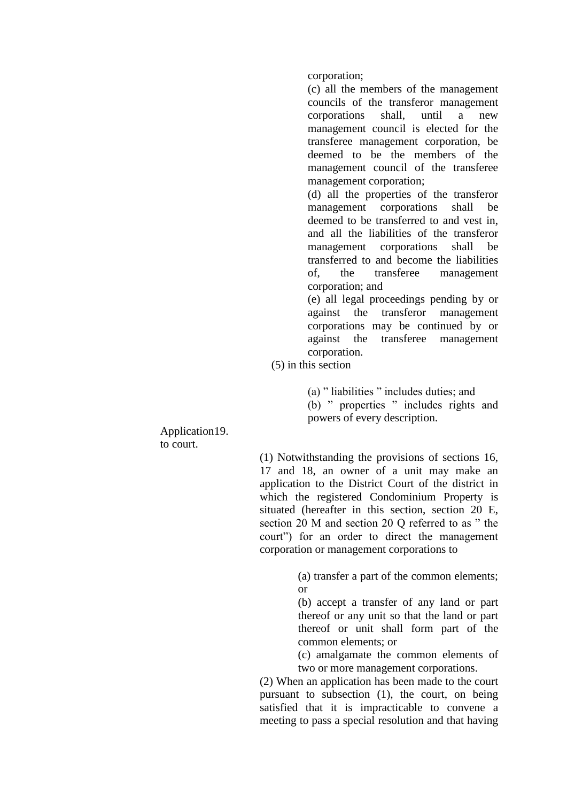corporation;

(c) all the members of the management councils of the transferor management corporations shall, until a new management council is elected for the transferee management corporation, be deemed to be the members of the management council of the transferee management corporation;

(d) all the properties of the transferor management corporations shall be deemed to be transferred to and vest in, and all the liabilities of the transferor management corporations shall be transferred to and become the liabilities of, the transferee management corporation; and

(e) all legal proceedings pending by or against the transferor management corporations may be continued by or against the transferee management corporation.

(5) in this section

(a) " liabilities " includes duties; and (b) " properties " includes rights and powers of every description.

Application 19. to court.

> (1) Notwithstanding the provisions of sections 16, 17 and 18, an owner of a unit may make an application to the District Court of the district in which the registered Condominium Property is situated (hereafter in this section, section 20 E, section 20 M and section 20 Q referred to as " the court") for an order to direct the management corporation or management corporations to

> > (a) transfer a part of the common elements; or

> > (b) accept a transfer of any land or part thereof or any unit so that the land or part thereof or unit shall form part of the common elements; or

> > (c) amalgamate the common elements of two or more management corporations.

(2) When an application has been made to the court pursuant to subsection (1), the court, on being satisfied that it is impracticable to convene a meeting to pass a special resolution and that having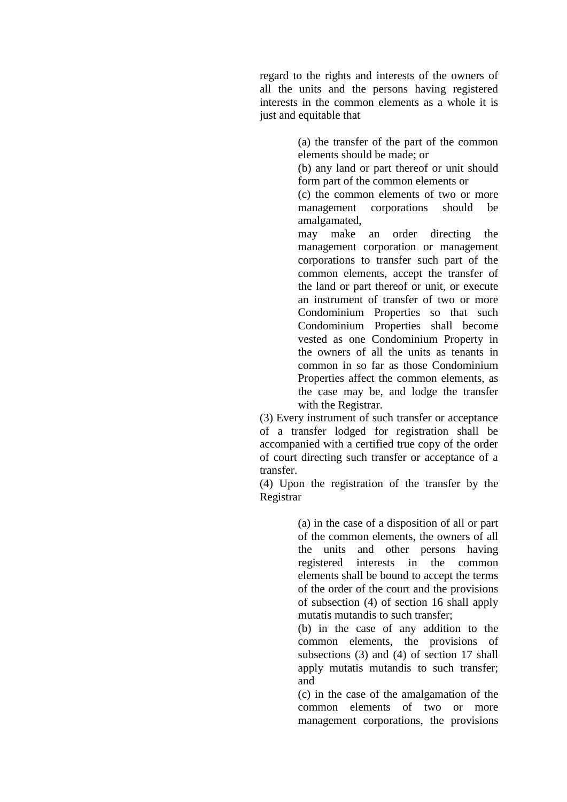regard to the rights and interests of the owners of all the units and the persons having registered interests in the common elements as a whole it is just and equitable that

> (a) the transfer of the part of the common elements should be made; or

> (b) any land or part thereof or unit should form part of the common elements or

> (c) the common elements of two or more management corporations should be amalgamated,

> may make an order directing the management corporation or management corporations to transfer such part of the common elements, accept the transfer of the land or part thereof or unit, or execute an instrument of transfer of two or more Condominium Properties so that such Condominium Properties shall become vested as one Condominium Property in the owners of all the units as tenants in common in so far as those Condominium Properties affect the common elements, as the case may be, and lodge the transfer with the Registrar.

(3) Every instrument of such transfer or acceptance of a transfer lodged for registration shall be accompanied with a certified true copy of the order of court directing such transfer or acceptance of a transfer.

(4) Upon the registration of the transfer by the Registrar

> (a) in the case of a disposition of all or part of the common elements, the owners of all the units and other persons having registered interests in the common elements shall be bound to accept the terms of the order of the court and the provisions of subsection (4) of section 16 shall apply mutatis mutandis to such transfer;

> (b) in the case of any addition to the common elements, the provisions of subsections (3) and (4) of section 17 shall apply mutatis mutandis to such transfer; and

> (c) in the case of the amalgamation of the common elements of two or more management corporations, the provisions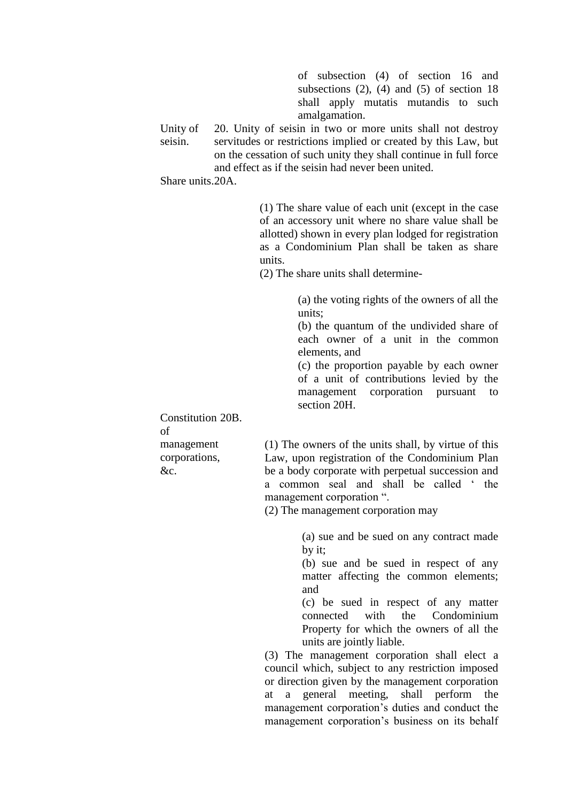of subsection (4) of section 16 and subsections  $(2)$ ,  $(4)$  and  $(5)$  of section 18 shall apply mutatis mutandis to such amalgamation.

Unity of seisin. 20. Unity of seisin in two or more units shall not destroy servitudes or restrictions implied or created by this Law, but on the cessation of such unity they shall continue in full force and effect as if the seisin had never been united.

Share units. 20A.

(1) The share value of each unit (except in the case of an accessory unit where no share value shall be allotted) shown in every plan lodged for registration as a Condominium Plan shall be taken as share units.

(2) The share units shall determine-

(a) the voting rights of the owners of all the units;

(b) the quantum of the undivided share of each owner of a unit in the common elements, and

(c) the proportion payable by each owner of a unit of contributions levied by the management corporation pursuant to section 20H.

Constitution 20B. of management corporations, &c.

(1) The owners of the units shall, by virtue of this Law, upon registration of the Condominium Plan be a body corporate with perpetual succession and a common seal and shall be called ' the management corporation ".

(2) The management corporation may

(a) sue and be sued on any contract made by it;

(b) sue and be sued in respect of any matter affecting the common elements; and

(c) be sued in respect of any matter connected with the Condominium Property for which the owners of all the units are jointly liable.

(3) The management corporation shall elect a council which, subject to any restriction imposed or direction given by the management corporation at a general meeting, shall perform the management corporation's duties and conduct the management corporation's business on its behalf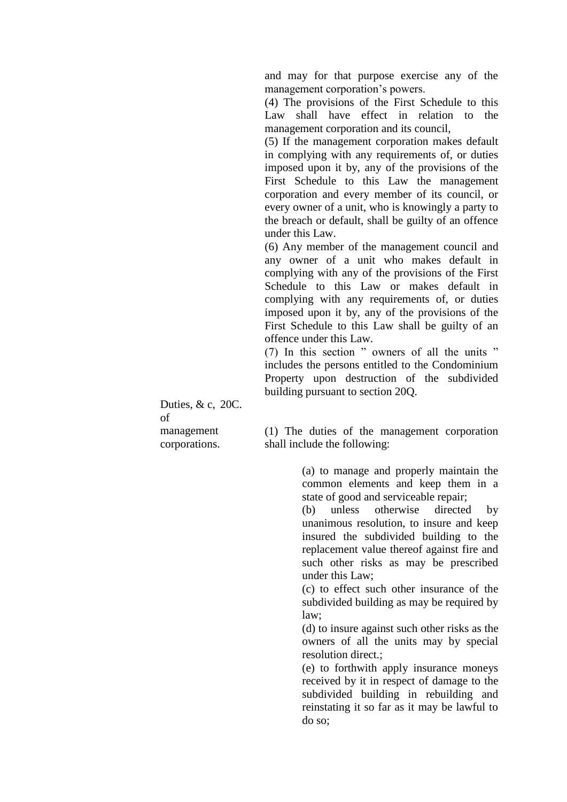and may for that purpose exercise any of the management corporation's powers.

(4) The provisions of the First Schedule to this Law shall have effect in relation to the management corporation and its council,

(5) If the management corporation makes default in complying with any requirements of, or duties imposed upon it by, any of the provisions of the First Schedule to this Law the management corporation and every member of its council, or every owner of a unit, who is knowingly a party to the breach or default, shall be guilty of an offence under this Law.

(6) Any member of the management council and any owner of a unit who makes default in complying with any of the provisions of the First Schedule to this Law or makes default in complying with any requirements of, or duties imposed upon it by, any of the provisions of the First Schedule to this Law shall be guilty of an offence under this Law.

(7) In this section " owners of all the units " includes the persons entitled to the Condominium Property upon destruction of the subdivided building pursuant to section 20Q.

Duties, & c, 20C. of management corporations.

(1) The duties of the management corporation shall include the following:

> (a) to manage and properly maintain the common elements and keep them in a state of good and serviceable repair;

> (b) unless otherwise directed by unanimous resolution, to insure and keep insured the subdivided building to the replacement value thereof against fire and such other risks as may be prescribed under this Law;

> (c) to effect such other insurance of the subdivided building as may be required by law;

> (d) to insure against such other risks as the owners of all the units may by special resolution direct.;

> (e) to forthwith apply insurance moneys received by it in respect of damage to the subdivided building in rebuilding and reinstating it so far as it may be lawful to do so;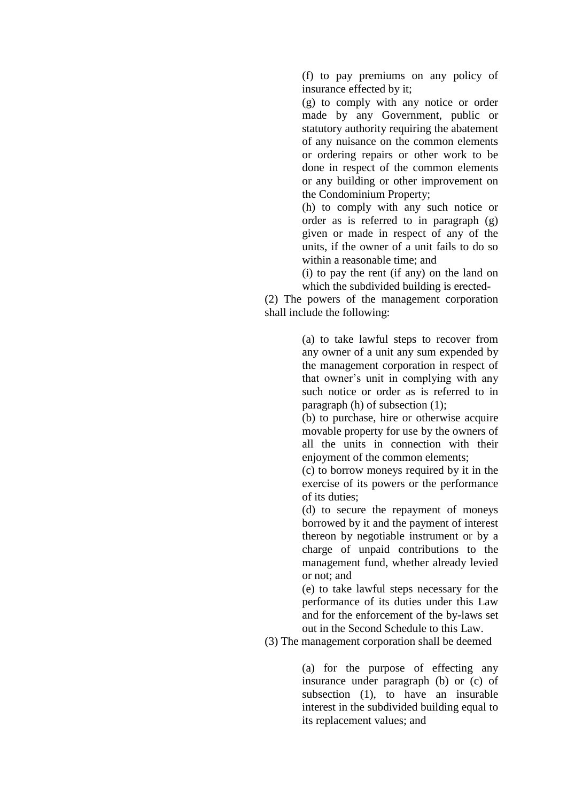(f) to pay premiums on any policy of insurance effected by it;

(g) to comply with any notice or order made by any Government, public or statutory authority requiring the abatement of any nuisance on the common elements or ordering repairs or other work to be done in respect of the common elements or any building or other improvement on the Condominium Property;

(h) to comply with any such notice or order as is referred to in paragraph (g) given or made in respect of any of the units, if the owner of a unit fails to do so within a reasonable time; and

(i) to pay the rent (if any) on the land on which the subdivided building is erected-

(2) The powers of the management corporation shall include the following:

> (a) to take lawful steps to recover from any owner of a unit any sum expended by the management corporation in respect of that owner's unit in complying with any such notice or order as is referred to in paragraph (h) of subsection (1);

> (b) to purchase, hire or otherwise acquire movable property for use by the owners of all the units in connection with their enjoyment of the common elements;

> (c) to borrow moneys required by it in the exercise of its powers or the performance of its duties;

> (d) to secure the repayment of moneys borrowed by it and the payment of interest thereon by negotiable instrument or by a charge of unpaid contributions to the management fund, whether already levied or not; and

> (e) to take lawful steps necessary for the performance of its duties under this Law and for the enforcement of the by-laws set out in the Second Schedule to this Law.

(3) The management corporation shall be deemed

(a) for the purpose of effecting any insurance under paragraph (b) or (c) of subsection (1), to have an insurable interest in the subdivided building equal to its replacement values; and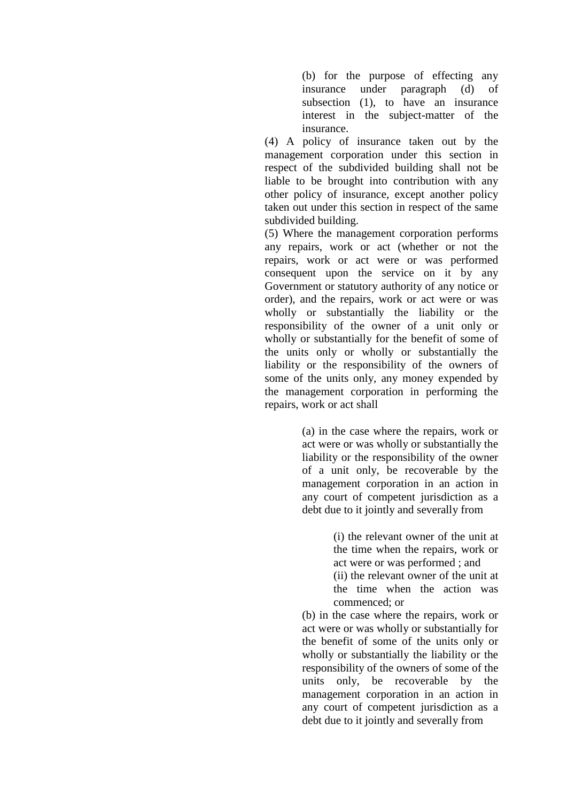(b) for the purpose of effecting any insurance under paragraph (d) of subsection (1), to have an insurance interest in the subject-matter of the insurance.

(4) A policy of insurance taken out by the management corporation under this section in respect of the subdivided building shall not be liable to be brought into contribution with any other policy of insurance, except another policy taken out under this section in respect of the same subdivided building.

(5) Where the management corporation performs any repairs, work or act (whether or not the repairs, work or act were or was performed consequent upon the service on it by any Government or statutory authority of any notice or order), and the repairs, work or act were or was wholly or substantially the liability or the responsibility of the owner of a unit only or wholly or substantially for the benefit of some of the units only or wholly or substantially the liability or the responsibility of the owners of some of the units only, any money expended by the management corporation in performing the repairs, work or act shall

> (a) in the case where the repairs, work or act were or was wholly or substantially the liability or the responsibility of the owner of a unit only, be recoverable by the management corporation in an action in any court of competent jurisdiction as a debt due to it jointly and severally from

> > (i) the relevant owner of the unit at the time when the repairs, work or act were or was performed ; and

> > (ii) the relevant owner of the unit at the time when the action was commenced; or

(b) in the case where the repairs, work or act were or was wholly or substantially for the benefit of some of the units only or wholly or substantially the liability or the responsibility of the owners of some of the units only, be recoverable by the management corporation in an action in any court of competent jurisdiction as a debt due to it jointly and severally from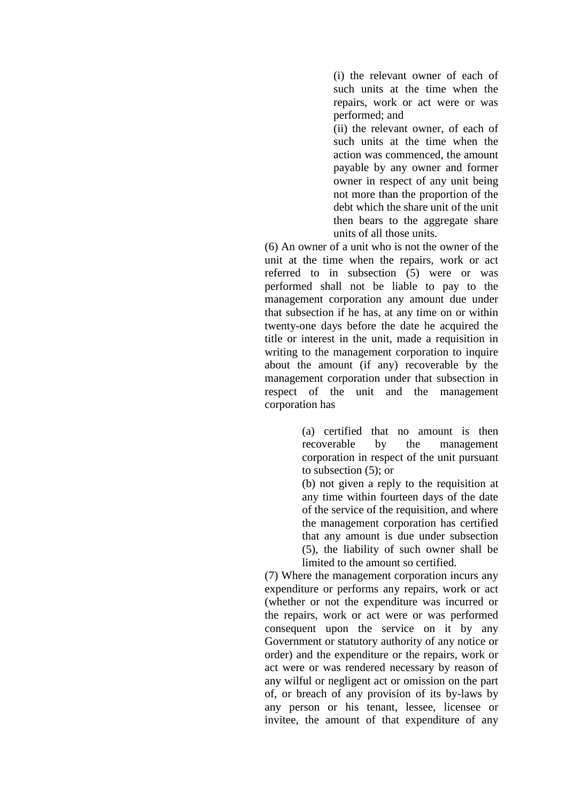(i) the relevant owner of each of such units at the time when the repairs, work or act were or was performed; and

(ii) the relevant owner, of each of such units at the time when the action was commenced, the amount payable by any owner and former owner in respect of any unit being not more than the proportion of the debt which the share unit of the unit then bears to the aggregate share units of all those units.

(6) An owner of a unit who is not the owner of the unit at the time when the repairs, work or act referred to in subsection (5) were or was performed shall not be liable to pay to the management corporation any amount due under that subsection if he has, at any time on or within twenty-one days before the date he acquired the title or interest in the unit, made a requisition in writing to the management corporation to inquire about the amount (if any) recoverable by the management corporation under that subsection in respect of the unit and the management corporation has

> (a) certified that no amount is then recoverable by the management corporation in respect of the unit pursuant to subsection (5); or

> (b) not given a reply to the requisition at any time within fourteen days of the date of the service of the requisition, and where the management corporation has certified that any amount is due under subsection (5), the liability of such owner shall be limited to the amount so certified.

(7) Where the management corporation incurs any expenditure or performs any repairs, work or act (whether or not the expenditure was incurred or the repairs, work or act were or was performed consequent upon the service on it by any Government or statutory authority of any notice or order) and the expenditure or the repairs, work or act were or was rendered necessary by reason of any wilful or negligent act or omission on the part of, or breach of any provision of its by-laws by any person or his tenant, lessee, licensee or invitee, the amount of that expenditure of any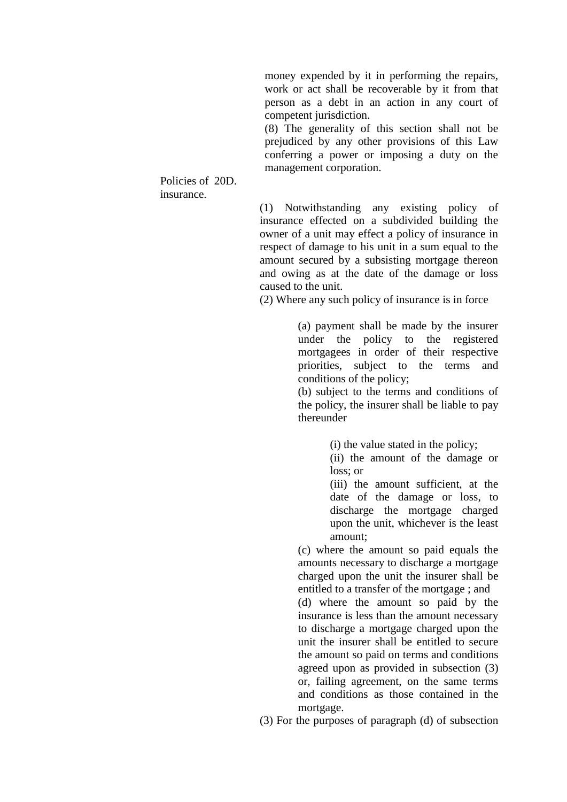money expended by it in performing the repairs, work or act shall be recoverable by it from that person as a debt in an action in any court of competent jurisdiction.

(8) The generality of this section shall not be prejudiced by any other provisions of this Law conferring a power or imposing a duty on the management corporation.

Policies of 20D. insurance.

> (1) Notwithstanding any existing policy of insurance effected on a subdivided building the owner of a unit may effect a policy of insurance in respect of damage to his unit in a sum equal to the amount secured by a subsisting mortgage thereon and owing as at the date of the damage or loss caused to the unit.

(2) Where any such policy of insurance is in force

(a) payment shall be made by the insurer under the policy to the registered mortgagees in order of their respective priorities, subject to the terms and conditions of the policy;

(b) subject to the terms and conditions of the policy, the insurer shall be liable to pay thereunder

(i) the value stated in the policy;

(ii) the amount of the damage or loss; or

(iii) the amount sufficient, at the date of the damage or loss, to discharge the mortgage charged upon the unit, whichever is the least amount;

(c) where the amount so paid equals the amounts necessary to discharge a mortgage charged upon the unit the insurer shall be entitled to a transfer of the mortgage ; and

(d) where the amount so paid by the insurance is less than the amount necessary to discharge a mortgage charged upon the unit the insurer shall be entitled to secure the amount so paid on terms and conditions agreed upon as provided in subsection (3) or, failing agreement, on the same terms and conditions as those contained in the mortgage.

(3) For the purposes of paragraph (d) of subsection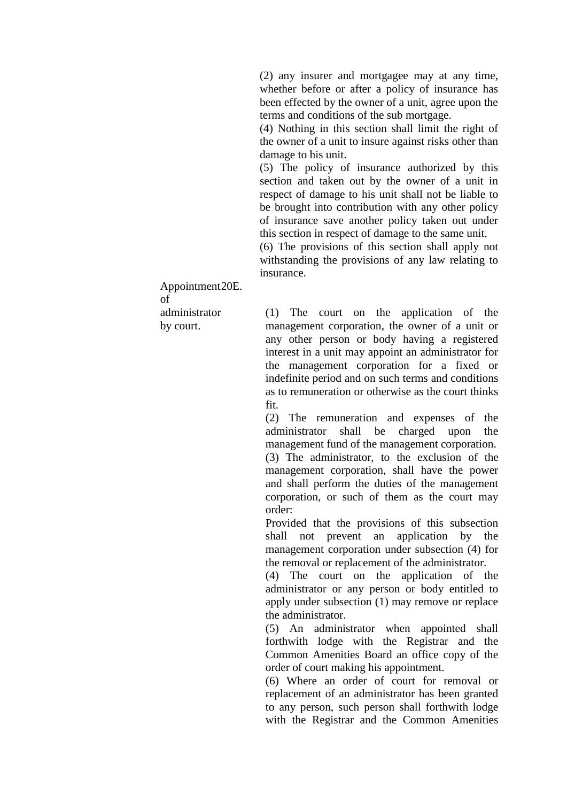(2) any insurer and mortgagee may at any time, whether before or after a policy of insurance has been effected by the owner of a unit, agree upon the terms and conditions of the sub mortgage.

(4) Nothing in this section shall limit the right of the owner of a unit to insure against risks other than damage to his unit.

(5) The policy of insurance authorized by this section and taken out by the owner of a unit in respect of damage to his unit shall not be liable to be brought into contribution with any other policy of insurance save another policy taken out under this section in respect of damage to the same unit.

(6) The provisions of this section shall apply not withstanding the provisions of any law relating to insurance.

Appointment 20E. of administrator by court.

(1) The court on the application of the management corporation, the owner of a unit or any other person or body having a registered interest in a unit may appoint an administrator for the management corporation for a fixed or indefinite period and on such terms and conditions as to remuneration or otherwise as the court thinks fit.

(2) The remuneration and expenses of the administrator shall be charged upon the management fund of the management corporation. (3) The administrator, to the exclusion of the management corporation, shall have the power and shall perform the duties of the management corporation, or such of them as the court may order:

Provided that the provisions of this subsection shall not prevent an application by the management corporation under subsection (4) for the removal or replacement of the administrator.

(4) The court on the application of the administrator or any person or body entitled to apply under subsection (1) may remove or replace the administrator.

(5) An administrator when appointed shall forthwith lodge with the Registrar and the Common Amenities Board an office copy of the order of court making his appointment.

(6) Where an order of court for removal or replacement of an administrator has been granted to any person, such person shall forthwith lodge with the Registrar and the Common Amenities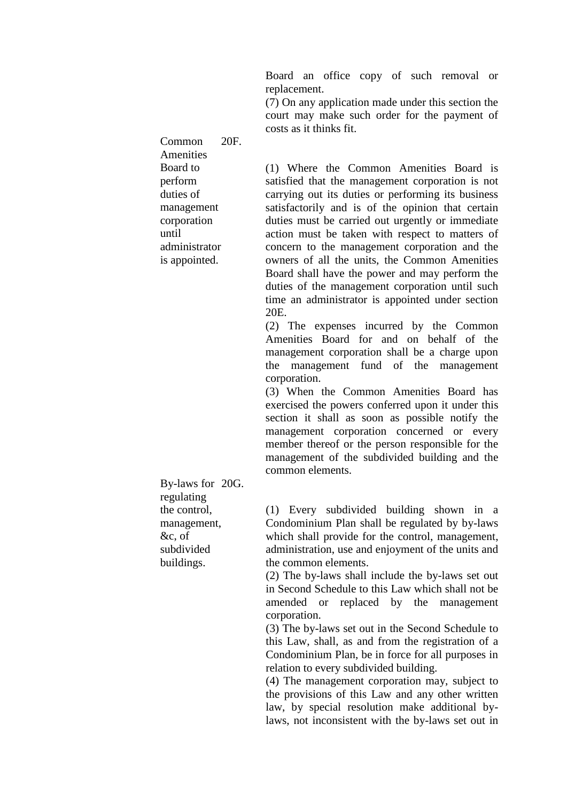Board an office copy of such removal or replacement.

(7) On any application made under this section the court may make such order for the payment of costs as it thinks fit.

(1) Where the Common Amenities Board is satisfied that the management corporation is not carrying out its duties or performing its business satisfactorily and is of the opinion that certain duties must be carried out urgently or immediate action must be taken with respect to matters of concern to the management corporation and the owners of all the units, the Common Amenities Board shall have the power and may perform the duties of the management corporation until such time an administrator is appointed under section

20E.

(2) The expenses incurred by the Common Amenities Board for and on behalf of the management corporation shall be a charge upon the management fund of the management corporation.

(3) When the Common Amenities Board has exercised the powers conferred upon it under this section it shall as soon as possible notify the management corporation concerned or every member thereof or the person responsible for the management of the subdivided building and the common elements.

By-laws for 20G. regulating the control, management, &c, of subdivided buildings.

(1) Every subdivided building shown in a Condominium Plan shall be regulated by by-laws which shall provide for the control, management, administration, use and enjoyment of the units and the common elements.

(2) The by-laws shall include the by-laws set out in Second Schedule to this Law which shall not be amended or replaced by the management corporation.

(3) The by-laws set out in the Second Schedule to this Law, shall, as and from the registration of a Condominium Plan, be in force for all purposes in relation to every subdivided building.

(4) The management corporation may, subject to the provisions of this Law and any other written law, by special resolution make additional bylaws, not inconsistent with the by-laws set out in

management corporation until administrator is appointed.

Common Amenities Board to perform duties of

20F.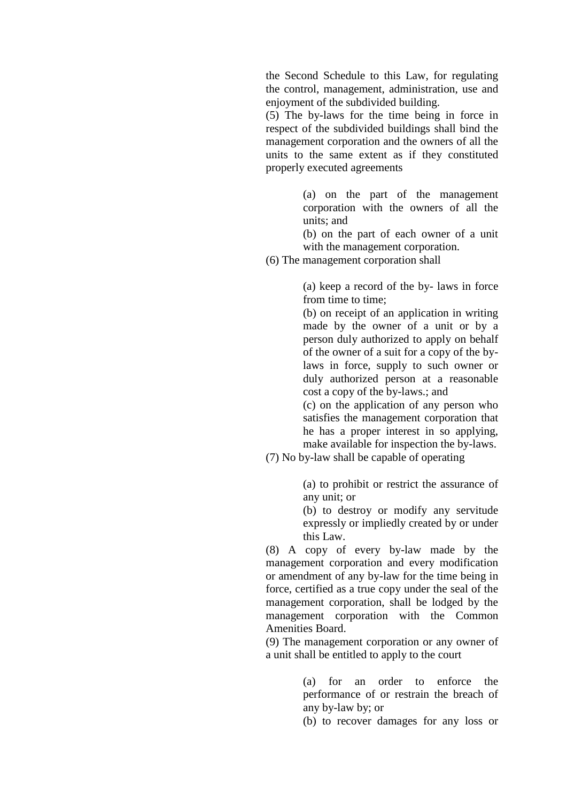the Second Schedule to this Law, for regulating the control, management, administration, use and enjoyment of the subdivided building.

(5) The by-laws for the time being in force in respect of the subdivided buildings shall bind the management corporation and the owners of all the units to the same extent as if they constituted properly executed agreements

> (a) on the part of the management corporation with the owners of all the units; and

(b) on the part of each owner of a unit with the management corporation.

(6) The management corporation shall

(a) keep a record of the by- laws in force from time to time;

(b) on receipt of an application in writing made by the owner of a unit or by a person duly authorized to apply on behalf of the owner of a suit for a copy of the bylaws in force, supply to such owner or duly authorized person at a reasonable cost a copy of the by-laws.; and

(c) on the application of any person who satisfies the management corporation that he has a proper interest in so applying, make available for inspection the by-laws.

(7) No by-law shall be capable of operating

(a) to prohibit or restrict the assurance of any unit; or

(b) to destroy or modify any servitude expressly or impliedly created by or under this Law.

(8) A copy of every by-law made by the management corporation and every modification or amendment of any by-law for the time being in force, certified as a true copy under the seal of the management corporation, shall be lodged by the management corporation with the Common Amenities Board.

(9) The management corporation or any owner of a unit shall be entitled to apply to the court

> (a) for an order to enforce the performance of or restrain the breach of any by-law by; or

> (b) to recover damages for any loss or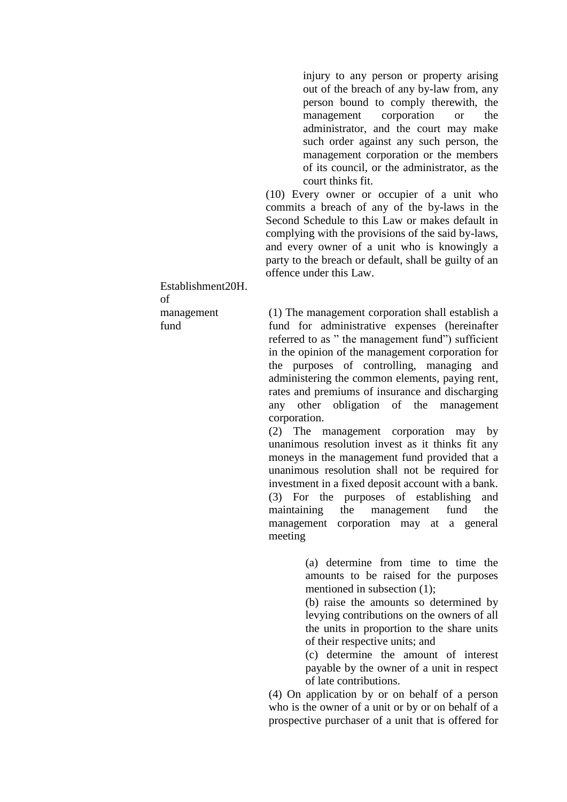injury to any person or property arising out of the breach of any by-law from, any person bound to comply therewith, the management corporation or the administrator, and the court may make such order against any such person, the management corporation or the members of its council, or the administrator, as the court thinks fit.

(10) Every owner or occupier of a unit who commits a breach of any of the by-laws in the Second Schedule to this Law or makes default in complying with the provisions of the said by-laws, and every owner of a unit who is knowingly a party to the breach or default, shall be guilty of an offence under this Law.

(1) The management corporation shall establish a fund for administrative expenses (hereinafter referred to as " the management fund") sufficient in the opinion of the management corporation for the purposes of controlling, managing and administering the common elements, paying rent, rates and premiums of insurance and discharging any other obligation of the management corporation.

(2) The management corporation may by unanimous resolution invest as it thinks fit any moneys in the management fund provided that a unanimous resolution shall not be required for investment in a fixed deposit account with a bank. (3) For the purposes of establishing and maintaining the management fund the management corporation may at a general meeting

> (a) determine from time to time the amounts to be raised for the purposes mentioned in subsection (1);

> (b) raise the amounts so determined by levying contributions on the owners of all the units in proportion to the share units of their respective units; and

> (c) determine the amount of interest payable by the owner of a unit in respect of late contributions.

(4) On application by or on behalf of a person who is the owner of a unit or by or on behalf of a prospective purchaser of a unit that is offered for

Establishment20H. of management fund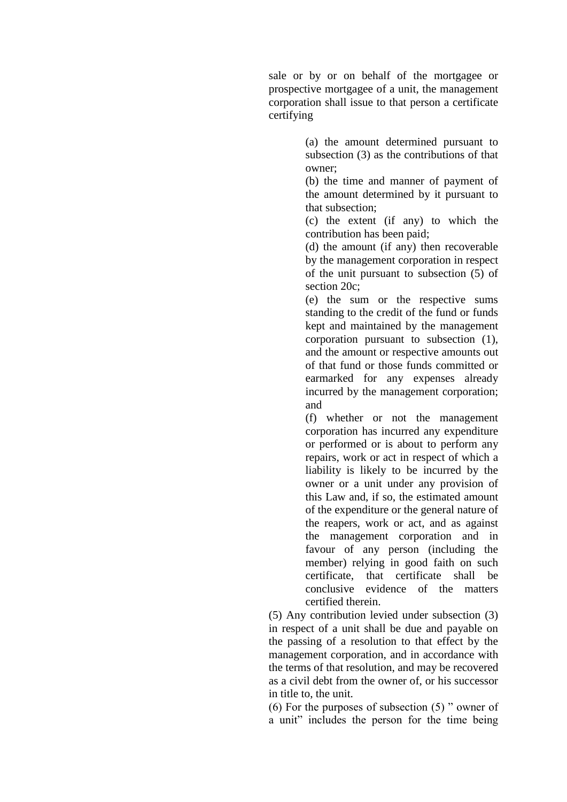sale or by or on behalf of the mortgagee or prospective mortgagee of a unit, the management corporation shall issue to that person a certificate certifying

> (a) the amount determined pursuant to subsection (3) as the contributions of that owner;

> (b) the time and manner of payment of the amount determined by it pursuant to that subsection;

> (c) the extent (if any) to which the contribution has been paid;

> (d) the amount (if any) then recoverable by the management corporation in respect of the unit pursuant to subsection (5) of section 20c:

> (e) the sum or the respective sums standing to the credit of the fund or funds kept and maintained by the management corporation pursuant to subsection (1), and the amount or respective amounts out of that fund or those funds committed or earmarked for any expenses already incurred by the management corporation; and

> (f) whether or not the management corporation has incurred any expenditure or performed or is about to perform any repairs, work or act in respect of which a liability is likely to be incurred by the owner or a unit under any provision of this Law and, if so, the estimated amount of the expenditure or the general nature of the reapers, work or act, and as against the management corporation and in favour of any person (including the member) relying in good faith on such certificate, that certificate shall be conclusive evidence of the matters certified therein.

(5) Any contribution levied under subsection (3) in respect of a unit shall be due and payable on the passing of a resolution to that effect by the management corporation, and in accordance with the terms of that resolution, and may be recovered as a civil debt from the owner of, or his successor in title to, the unit.

(6) For the purposes of subsection (5) " owner of a unit" includes the person for the time being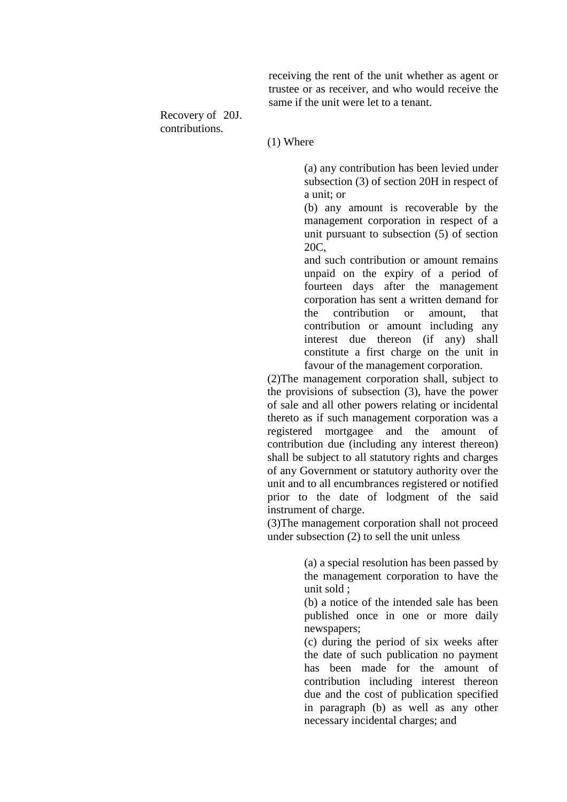receiving the rent of the unit whether as agent or trustee or as receiver, and who would receive the same if the unit were let to a tenant.

Recovery of 20J. contributions.

(1) Where

(a) any contribution has been levied under subsection (3) of section 20H in respect of a unit; or

(b) any amount is recoverable by the management corporation in respect of a unit pursuant to subsection (5) of section 20C,

and such contribution or amount remains unpaid on the expiry of a period of fourteen days after the management corporation has sent a written demand for the contribution or amount, that contribution or amount including any interest due thereon (if any) shall constitute a first charge on the unit in favour of the management corporation.

(2)The management corporation shall, subject to the provisions of subsection (3), have the power of sale and all other powers relating or incidental thereto as if such management corporation was a registered mortgagee and the amount of contribution due (including any interest thereon) shall be subject to all statutory rights and charges of any Government or statutory authority over the unit and to all encumbrances registered or notified prior to the date of lodgment of the said instrument of charge.

(3)The management corporation shall not proceed under subsection (2) to sell the unit unless

> (a) a special resolution has been passed by the management corporation to have the unit sold ;

> (b) a notice of the intended sale has been published once in one or more daily newspapers;

> (c) during the period of six weeks after the date of such publication no payment has been made for the amount of contribution including interest thereon due and the cost of publication specified in paragraph (b) as well as any other necessary incidental charges; and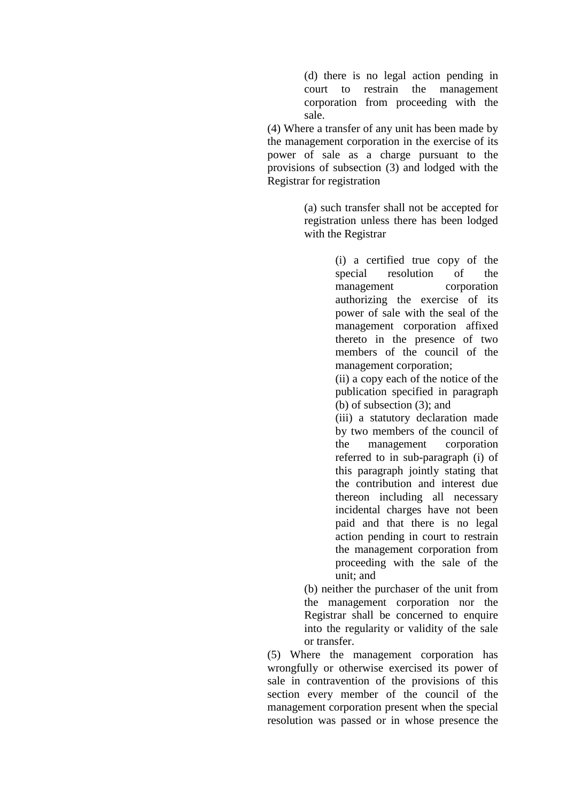(d) there is no legal action pending in court to restrain the management corporation from proceeding with the sale.

(4) Where a transfer of any unit has been made by the management corporation in the exercise of its power of sale as a charge pursuant to the provisions of subsection (3) and lodged with the Registrar for registration

> (a) such transfer shall not be accepted for registration unless there has been lodged with the Registrar

> > (i) a certified true copy of the special resolution of the management corporation authorizing the exercise of its power of sale with the seal of the management corporation affixed thereto in the presence of two members of the council of the management corporation;

> > (ii) a copy each of the notice of the publication specified in paragraph (b) of subsection (3); and

> > (iii) a statutory declaration made by two members of the council of the management corporation referred to in sub-paragraph (i) of this paragraph jointly stating that the contribution and interest due thereon including all necessary incidental charges have not been paid and that there is no legal action pending in court to restrain the management corporation from proceeding with the sale of the unit; and

(b) neither the purchaser of the unit from the management corporation nor the Registrar shall be concerned to enquire into the regularity or validity of the sale or transfer.

(5) Where the management corporation has wrongfully or otherwise exercised its power of sale in contravention of the provisions of this section every member of the council of the management corporation present when the special resolution was passed or in whose presence the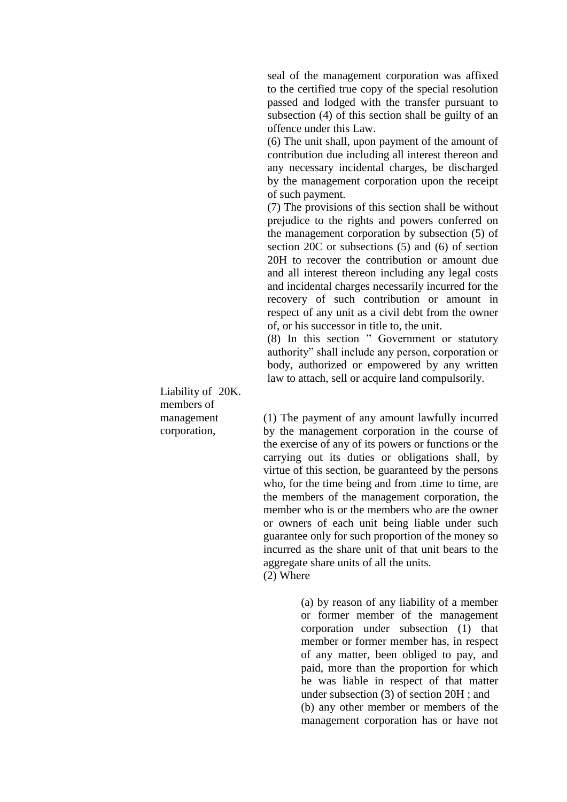seal of the management corporation was affixed to the certified true copy of the special resolution passed and lodged with the transfer pursuant to subsection (4) of this section shall be guilty of an offence under this Law.

(6) The unit shall, upon payment of the amount of contribution due including all interest thereon and any necessary incidental charges, be discharged by the management corporation upon the receipt of such payment.

(7) The provisions of this section shall be without prejudice to the rights and powers conferred on the management corporation by subsection (5) of section 20C or subsections (5) and (6) of section 20H to recover the contribution or amount due and all interest thereon including any legal costs and incidental charges necessarily incurred for the recovery of such contribution or amount in respect of any unit as a civil debt from the owner of, or his successor in title to, the unit.

(8) In this section " Government or statutory authority" shall include any person, corporation or body, authorized or empowered by any written law to attach, sell or acquire land compulsorily.

(1) The payment of any amount lawfully incurred by the management corporation in the course of the exercise of any of its powers or functions or the carrying out its duties or obligations shall, by virtue of this section, be guaranteed by the persons who, for the time being and from .time to time, are the members of the management corporation, the member who is or the members who are the owner or owners of each unit being liable under such guarantee only for such proportion of the money so incurred as the share unit of that unit bears to the aggregate share units of all the units. (2) Where

> (a) by reason of any liability of a member or former member of the management corporation under subsection (1) that member or former member has, in respect of any matter, been obliged to pay, and paid, more than the proportion for which he was liable in respect of that matter under subsection (3) of section 20H ; and (b) any other member or members of the management corporation has or have not

Liability of 20K. members of management corporation,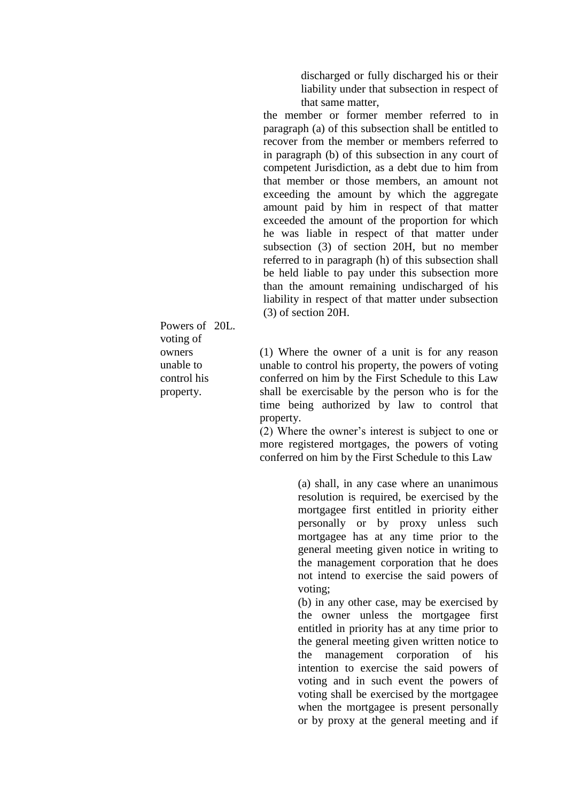discharged or fully discharged his or their liability under that subsection in respect of that same matter,

the member or former member referred to in paragraph (a) of this subsection shall be entitled to recover from the member or members referred to in paragraph (b) of this subsection in any court of competent Jurisdiction, as a debt due to him from that member or those members, an amount not exceeding the amount by which the aggregate amount paid by him in respect of that matter exceeded the amount of the proportion for which he was liable in respect of that matter under subsection (3) of section 20H, but no member referred to in paragraph (h) of this subsection shall be held liable to pay under this subsection more than the amount remaining undischarged of his liability in respect of that matter under subsection (3) of section 20H.

Powers of 20L. voting of owners unable to control his property.

(1) Where the owner of a unit is for any reason unable to control his property, the powers of voting conferred on him by the First Schedule to this Law shall be exercisable by the person who is for the time being authorized by law to control that property.

(2) Where the owner's interest is subject to one or more registered mortgages, the powers of voting conferred on him by the First Schedule to this Law

> (a) shall, in any case where an unanimous resolution is required, be exercised by the mortgagee first entitled in priority either personally or by proxy unless such mortgagee has at any time prior to the general meeting given notice in writing to the management corporation that he does not intend to exercise the said powers of voting;

> (b) in any other case, may be exercised by the owner unless the mortgagee first entitled in priority has at any time prior to the general meeting given written notice to the management corporation of his intention to exercise the said powers of voting and in such event the powers of voting shall be exercised by the mortgagee when the mortgagee is present personally or by proxy at the general meeting and if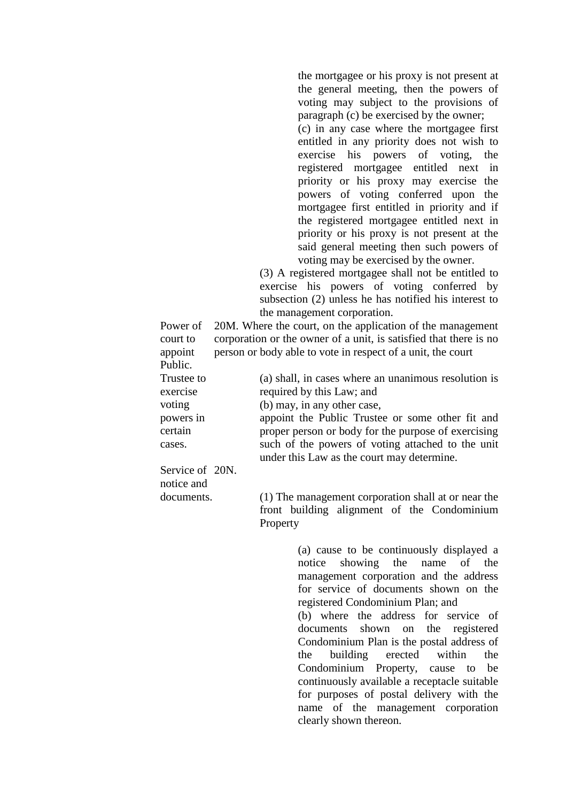the mortgagee or his proxy is not present at the general meeting, then the powers of voting may subject to the provisions of paragraph (c) be exercised by the owner; (c) in any case where the mortgagee first entitled in any priority does not wish to exercise his powers of voting, the registered mortgagee entitled next in priority or his proxy may exercise the powers of voting conferred upon the mortgagee first entitled in priority and if the registered mortgagee entitled next in priority or his proxy is not present at the said general meeting then such powers of voting may be exercised by the owner.

(3) A registered mortgagee shall not be entitled to exercise his powers of voting conferred by subsection (2) unless he has notified his interest to the management corporation.

Power of court to appoint Public. 20M. Where the court, on the application of the management corporation or the owner of a unit, is satisfied that there is no person or body able to vote in respect of a unit, the court

Trustee to exercise voting powers in certain cases. (a) shall, in cases where an unanimous resolution is required by this Law; and (b) may, in any other case, appoint the Public Trustee or some other fit and proper person or body for the purpose of exercising such of the powers of voting attached to the unit under this Law as the court may determine.

Service of 20N. notice and documents.

(1) The management corporation shall at or near the front building alignment of the Condominium Property

> (a) cause to be continuously displayed a notice showing the name of the management corporation and the address for service of documents shown on the registered Condominium Plan; and (b) where the address for service of documents shown on the registered Condominium Plan is the postal address of the building erected within the Condominium Property, cause to be continuously available a receptacle suitable for purposes of postal delivery with the name of the management corporation clearly shown thereon.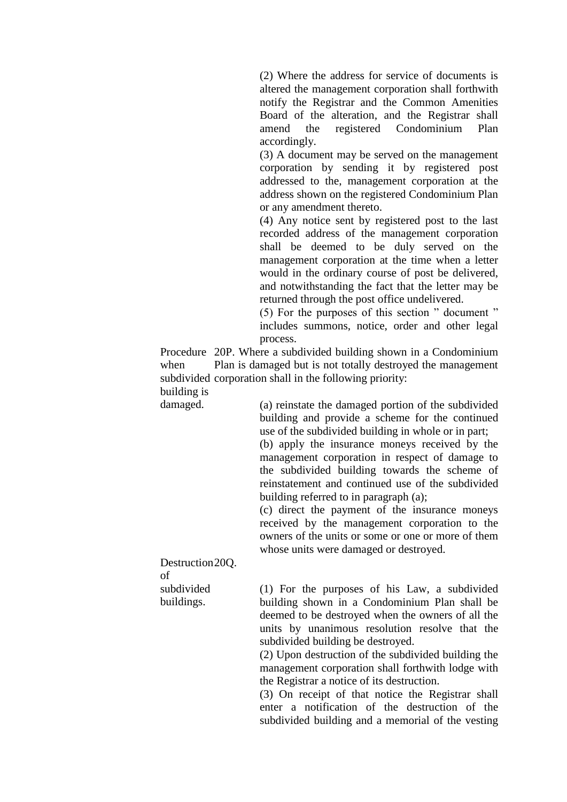(2) Where the address for service of documents is altered the management corporation shall forthwith notify the Registrar and the Common Amenities Board of the alteration, and the Registrar shall amend the registered Condominium Plan accordingly.

(3) A document may be served on the management corporation by sending it by registered post addressed to the, management corporation at the address shown on the registered Condominium Plan or any amendment thereto.

(4) Any notice sent by registered post to the last recorded address of the management corporation shall be deemed to be duly served on the management corporation at the time when a letter would in the ordinary course of post be delivered, and notwithstanding the fact that the letter may be returned through the post office undelivered.

(5) For the purposes of this section " document " includes summons, notice, order and other legal process.

Procedure 20P. Where a subdivided building shown in a Condominium when subdivided corporation shall in the following priority: building is Plan is damaged but is not totally destroyed the management

damaged.

(a) reinstate the damaged portion of the subdivided building and provide a scheme for the continued use of the subdivided building in whole or in part;

(b) apply the insurance moneys received by the management corporation in respect of damage to the subdivided building towards the scheme of reinstatement and continued use of the subdivided building referred to in paragraph (a);

(c) direct the payment of the insurance moneys received by the management corporation to the owners of the units or some or one or more of them whose units were damaged or destroyed.

Destruction 20Q. of subdivided buildings.

(1) For the purposes of his Law, a subdivided building shown in a Condominium Plan shall be deemed to be destroyed when the owners of all the units by unanimous resolution resolve that the subdivided building be destroyed.

(2) Upon destruction of the subdivided building the management corporation shall forthwith lodge with the Registrar a notice of its destruction.

(3) On receipt of that notice the Registrar shall enter a notification of the destruction of the subdivided building and a memorial of the vesting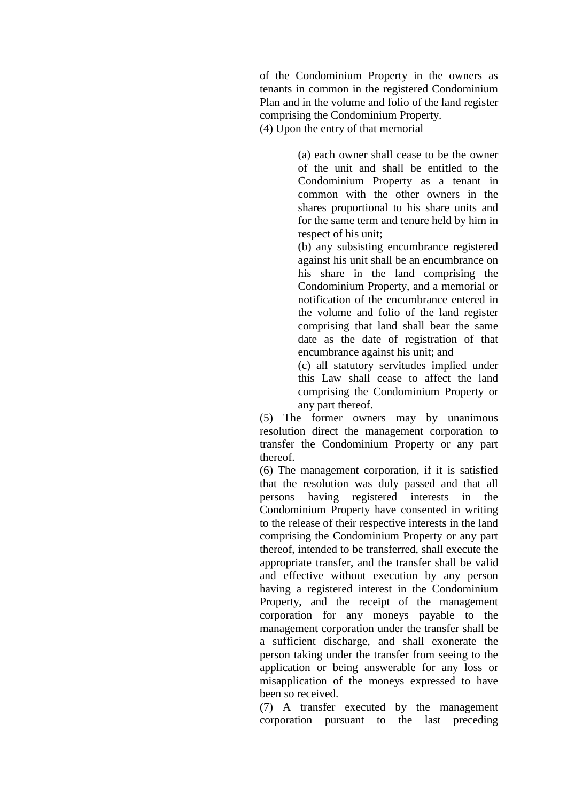of the Condominium Property in the owners as tenants in common in the registered Condominium Plan and in the volume and folio of the land register comprising the Condominium Property. (4) Upon the entry of that memorial

> (a) each owner shall cease to be the owner of the unit and shall be entitled to the Condominium Property as a tenant in common with the other owners in the shares proportional to his share units and for the same term and tenure held by him in respect of his unit;

> (b) any subsisting encumbrance registered against his unit shall be an encumbrance on his share in the land comprising the Condominium Property, and a memorial or notification of the encumbrance entered in the volume and folio of the land register comprising that land shall bear the same date as the date of registration of that encumbrance against his unit; and

> (c) all statutory servitudes implied under this Law shall cease to affect the land comprising the Condominium Property or any part thereof.

(5) The former owners may by unanimous resolution direct the management corporation to transfer the Condominium Property or any part thereof.

(6) The management corporation, if it is satisfied that the resolution was duly passed and that all persons having registered interests in the Condominium Property have consented in writing to the release of their respective interests in the land comprising the Condominium Property or any part thereof, intended to be transferred, shall execute the appropriate transfer, and the transfer shall be valid and effective without execution by any person having a registered interest in the Condominium Property, and the receipt of the management corporation for any moneys payable to the management corporation under the transfer shall be a sufficient discharge, and shall exonerate the person taking under the transfer from seeing to the application or being answerable for any loss or misapplication of the moneys expressed to have been so received.

(7) A transfer executed by the management corporation pursuant to the last preceding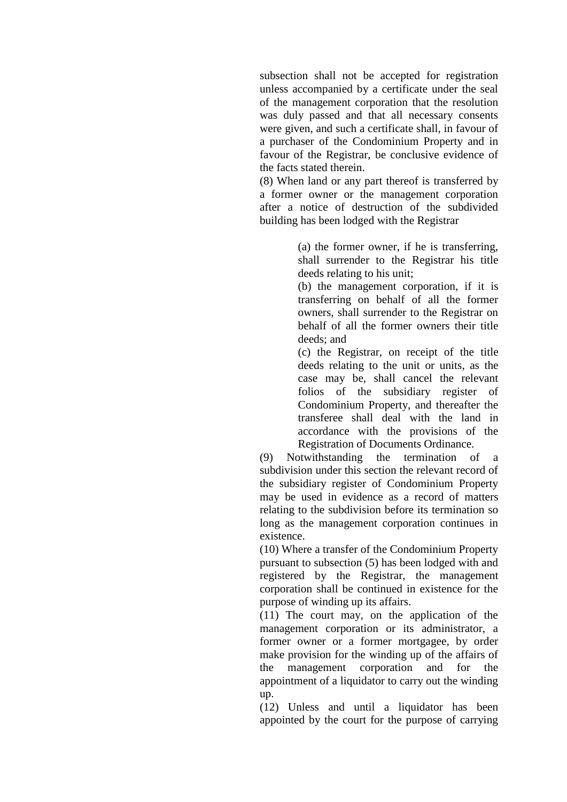subsection shall not be accepted for registration unless accompanied by a certificate under the seal of the management corporation that the resolution was duly passed and that all necessary consents were given, and such a certificate shall, in favour of a purchaser of the Condominium Property and in favour of the Registrar, be conclusive evidence of the facts stated therein.

(8) When land or any part thereof is transferred by a former owner or the management corporation after a notice of destruction of the subdivided building has been lodged with the Registrar

> (a) the former owner, if he is transferring, shall surrender to the Registrar his title deeds relating to his unit;

> (b) the management corporation, if it is transferring on behalf of all the former owners, shall surrender to the Registrar on behalf of all the former owners their title deeds; and

> (c) the Registrar, on receipt of the title deeds relating to the unit or units, as the case may be, shall cancel the relevant folios of the subsidiary register of Condominium Property, and thereafter the transferee shall deal with the land in accordance with the provisions of the Registration of Documents Ordinance.

(9) Notwithstanding the termination of a subdivision under this section the relevant record of the subsidiary register of Condominium Property may be used in evidence as a record of matters relating to the subdivision before its termination so long as the management corporation continues in existence.

(10) Where a transfer of the Condominium Property pursuant to subsection (5) has been lodged with and registered by the Registrar, the management corporation shall be continued in existence for the purpose of winding up its affairs.

(11) The court may, on the application of the management corporation or its administrator, a former owner or a former mortgagee, by order make provision for the winding up of the affairs of the management corporation and for the appointment of a liquidator to carry out the winding up.

(12) Unless and until a liquidator has been appointed by the court for the purpose of carrying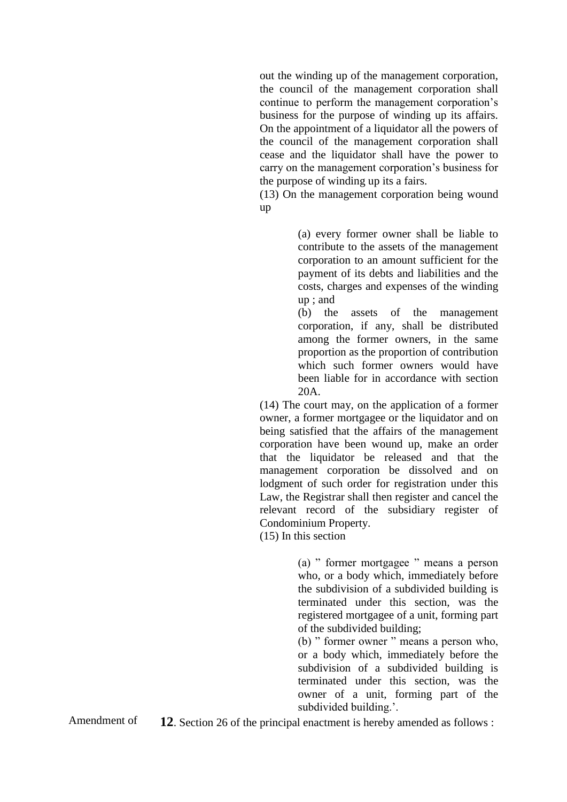out the winding up of the management corporation, the council of the management corporation shall continue to perform the management corporation's business for the purpose of winding up its affairs. On the appointment of a liquidator all the powers of the council of the management corporation shall cease and the liquidator shall have the power to carry on the management corporation's business for the purpose of winding up its a fairs.

(13) On the management corporation being wound up

> (a) every former owner shall be liable to contribute to the assets of the management corporation to an amount sufficient for the payment of its debts and liabilities and the costs, charges and expenses of the winding up ; and

> (b) the assets of the management corporation, if any, shall be distributed among the former owners, in the same proportion as the proportion of contribution which such former owners would have been liable for in accordance with section 20A.

(14) The court may, on the application of a former owner, a former mortgagee or the liquidator and on being satisfied that the affairs of the management corporation have been wound up, make an order that the liquidator be released and that the management corporation be dissolved and on lodgment of such order for registration under this Law, the Registrar shall then register and cancel the relevant record of the subsidiary register of Condominium Property.

(15) In this section

(a) " former mortgagee " means a person who, or a body which, immediately before the subdivision of a subdivided building is terminated under this section, was the registered mortgagee of a unit, forming part of the subdivided building;

(b) " former owner " means a person who, or a body which, immediately before the subdivision of a subdivided building is terminated under this section, was the owner of a unit, forming part of the subdivided building.'.

Amendment of **12**. Section 26 of the principal enactment is hereby amended as follows :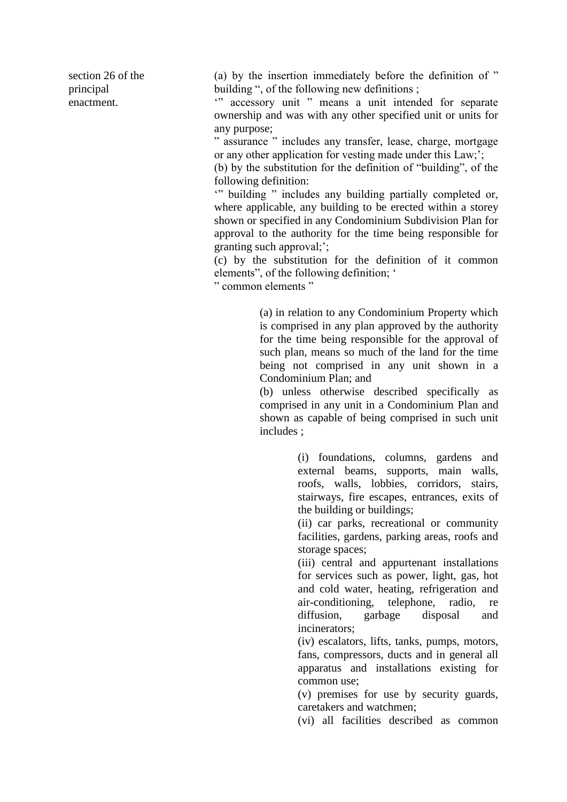section 26 of the principal enactment.

(a) by the insertion immediately before the definition of " building ", of the following new definitions ;

'" accessory unit " means a unit intended for separate ownership and was with any other specified unit or units for any purpose;

" assurance " includes any transfer, lease, charge, mortgage or any other application for vesting made under this Law;';

(b) by the substitution for the definition of "building", of the following definition:

'" building " includes any building partially completed or, where applicable, any building to be erected within a storey shown or specified in any Condominium Subdivision Plan for approval to the authority for the time being responsible for granting such approval;';

(c) by the substitution for the definition of it common elements", of the following definition; '

" common elements "

(a) in relation to any Condominium Property which is comprised in any plan approved by the authority for the time being responsible for the approval of such plan, means so much of the land for the time being not comprised in any unit shown in a Condominium Plan; and

(b) unless otherwise described specifically as comprised in any unit in a Condominium Plan and shown as capable of being comprised in such unit includes ;

> (i) foundations, columns, gardens and external beams, supports, main walls, roofs, walls, lobbies, corridors, stairs, stairways, fire escapes, entrances, exits of the building or buildings;

> (ii) car parks, recreational or community facilities, gardens, parking areas, roofs and storage spaces;

> (iii) central and appurtenant installations for services such as power, light, gas, hot and cold water, heating, refrigeration and air-conditioning, telephone, radio, re diffusion, garbage disposal and incinerators;

> (iv) escalators, lifts, tanks, pumps, motors, fans, compressors, ducts and in general all apparatus and installations existing for common use;

> (v) premises for use by security guards, caretakers and watchmen;

> (vi) all facilities described as common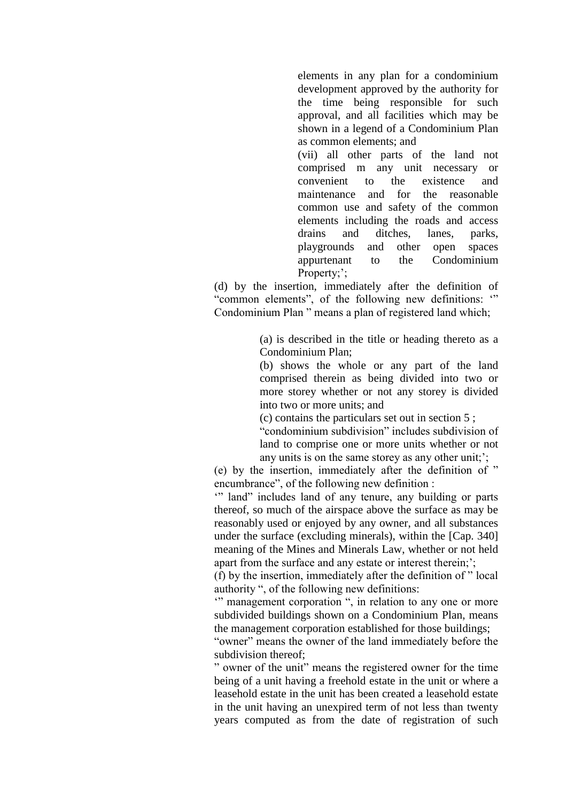elements in any plan for a condominium development approved by the authority for the time being responsible for such approval, and all facilities which may be shown in a legend of a Condominium Plan as common elements; and

(vii) all other parts of the land not comprised m any unit necessary or convenient to the existence and maintenance and for the reasonable common use and safety of the common elements including the roads and access drains and ditches, lanes, parks, playgrounds and other open spaces appurtenant to the Condominium Property;';

(d) by the insertion, immediately after the definition of "common elements", of the following new definitions: " Condominium Plan " means a plan of registered land which;

> (a) is described in the title or heading thereto as a Condominium Plan;

> (b) shows the whole or any part of the land comprised therein as being divided into two or more storey whether or not any storey is divided into two or more units; and

(c) contains the particulars set out in section 5 ;

"condominium subdivision" includes subdivision of land to comprise one or more units whether or not any units is on the same storey as any other unit;';

(e) by the insertion, immediately after the definition of " encumbrance", of the following new definition :

" land" includes land of any tenure, any building or parts thereof, so much of the airspace above the surface as may be reasonably used or enjoyed by any owner, and all substances under the surface (excluding minerals), within the [Cap. 340] meaning of the Mines and Minerals Law, whether or not held apart from the surface and any estate or interest therein;';

(f) by the insertion, immediately after the definition of " local authority ", of the following new definitions:

" management corporation ", in relation to any one or more subdivided buildings shown on a Condominium Plan, means the management corporation established for those buildings;

"owner" means the owner of the land immediately before the subdivision thereof;

" owner of the unit" means the registered owner for the time being of a unit having a freehold estate in the unit or where a leasehold estate in the unit has been created a leasehold estate in the unit having an unexpired term of not less than twenty years computed as from the date of registration of such